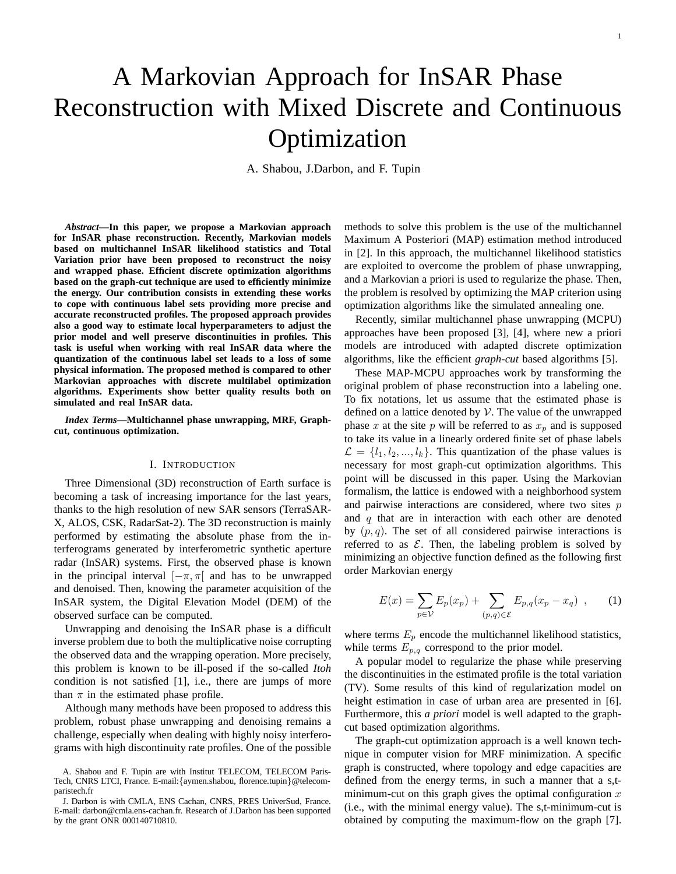# A Markovian Approach for InSAR Phase Reconstruction with Mixed Discrete and Continuous Optimization

A. Shabou, J.Darbon, and F. Tupin

*Abstract***—In this paper, we propose a Markovian approach for InSAR phase reconstruction. Recently, Markovian models based on multichannel InSAR likelihood statistics and Total Variation prior have been proposed to reconstruct the noisy and wrapped phase. Efficient discrete optimization algorithms based on the graph-cut technique are used to efficiently minimize the energy. Our contribution consists in extending these works to cope with continuous label sets providing more precise and accurate reconstructed profiles. The proposed approach provides also a good way to estimate local hyperparameters to adjust the prior model and well preserve discontinuities in profiles. This task is useful when working with real InSAR data where the quantization of the continuous label set leads to a loss of some physical information. The proposed method is compared to other Markovian approaches with discrete multilabel optimization algorithms. Experiments show better quality results both on simulated and real InSAR data.**

*Index Terms***—Multichannel phase unwrapping, MRF, Graphcut, continuous optimization.**

#### I. INTRODUCTION

Three Dimensional (3D) reconstruction of Earth surface is becoming a task of increasing importance for the last years, thanks to the high resolution of new SAR sensors (TerraSAR-X, ALOS, CSK, RadarSat-2). The 3D reconstruction is mainly performed by estimating the absolute phase from the interferograms generated by interferometric synthetic aperture radar (InSAR) systems. First, the observed phase is known in the principal interval  $[-\pi, \pi]$  and has to be unwrapped and denoised. Then, knowing the parameter acquisition of the InSAR system, the Digital Elevation Model (DEM) of the observed surface can be computed.

Unwrapping and denoising the InSAR phase is a difficult inverse problem due to both the multiplicative noise corrupting the observed data and the wrapping operation. More precisely, this problem is known to be ill-posed if the so-called *Itoh* condition is not satisfied [1], i.e., there are jumps of more than  $\pi$  in the estimated phase profile.

Although many methods have been proposed to address this problem, robust phase unwrapping and denoising remains a challenge, especially when dealing with highly noisy interferograms with high discontinuity rate profiles. One of the possible methods to solve this problem is the use of the multichannel Maximum A Posteriori (MAP) estimation method introduced in [2]. In this approach, the multichannel likelihood statistics are exploited to overcome the problem of phase unwrapping, and a Markovian a priori is used to regularize the phase. Then, the problem is resolved by optimizing the MAP criterion using optimization algorithms like the simulated annealing one.

Recently, similar multichannel phase unwrapping (MCPU) approaches have been proposed [3], [4], where new a priori models are introduced with adapted discrete optimization algorithms, like the efficient *graph-cut* based algorithms [5].

These MAP-MCPU approaches work by transforming the original problem of phase reconstruction into a labeling one. To fix notations, let us assume that the estimated phase is defined on a lattice denoted by  $V$ . The value of the unwrapped phase x at the site p will be referred to as  $x_p$  and is supposed to take its value in a linearly ordered finite set of phase labels  $\mathcal{L} = \{l_1, l_2, ..., l_k\}$ . This quantization of the phase values is necessary for most graph-cut optimization algorithms. This point will be discussed in this paper. Using the Markovian formalism, the lattice is endowed with a neighborhood system and pairwise interactions are considered, where two sites  $p$ and  $q$  that are in interaction with each other are denoted by  $(p, q)$ . The set of all considered pairwise interactions is referred to as  $\mathcal E$ . Then, the labeling problem is solved by minimizing an objective function defined as the following first order Markovian energy

$$
E(x) = \sum_{p \in \mathcal{V}} E_p(x_p) + \sum_{(p,q) \in \mathcal{E}} E_{p,q}(x_p - x_q) , \qquad (1)
$$

<span id="page-0-0"></span>where terms  $E_p$  encode the multichannel likelihood statistics, while terms  $E_{p,q}$  correspond to the prior model.

A popular model to regularize the phase while preserving the discontinuities in the estimated profile is the total variation (TV). Some results of this kind of regularization model on height estimation in case of urban area are presented in [6]. Furthermore, this *a priori* model is well adapted to the graphcut based optimization algorithms.

The graph-cut optimization approach is a well known technique in computer vision for MRF minimization. A specific graph is constructed, where topology and edge capacities are defined from the energy terms, in such a manner that a s,tminimum-cut on this graph gives the optimal configuration  $x$ (i.e., with the minimal energy value). The s,t-minimum-cut is obtained by computing the maximum-flow on the graph [7].

A. Shabou and F. Tupin are with Institut TELECOM, TELECOM Paris-Tech, CNRS LTCI, France. E-mail:{aymen.shabou, florence.tupin}@telecomparistech.fr

J. Darbon is with CMLA, ENS Cachan, CNRS, PRES UniverSud, France. E-mail: darbon@cmla.ens-cachan.fr. Research of J.Darbon has been supported by the grant ONR 000140710810.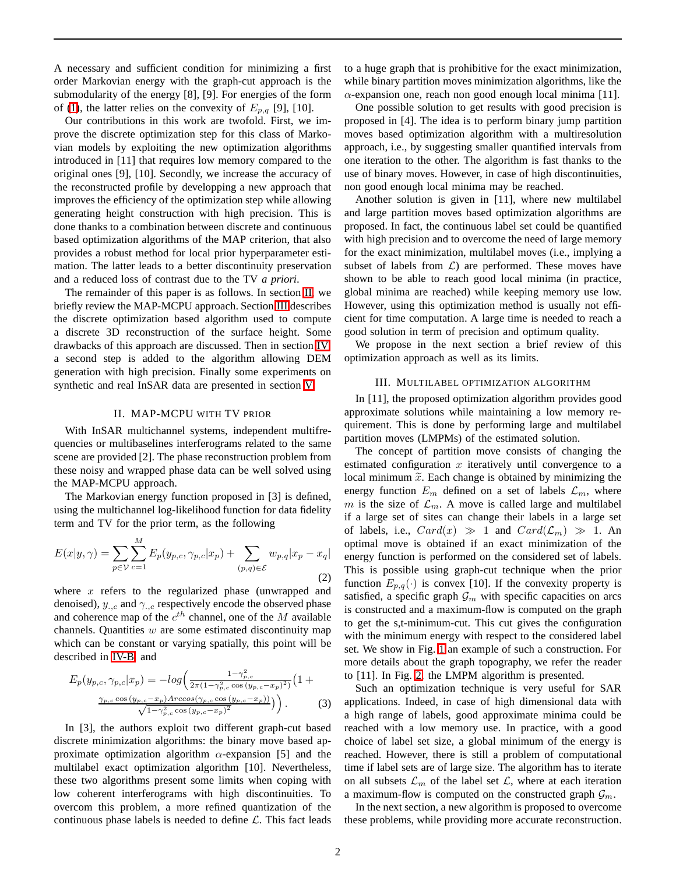A necessary and sufficient condition for minimizing a first order Markovian energy with the graph-cut approach is the submodularity of the energy [8], [9]. For energies of the form of [\(1\)](#page-0-0), the latter relies on the convexity of  $E_{p,q}$  [9], [10].

Our contributions in this work are twofold. First, we improve the discrete optimization step for this class of Markovian models by exploiting the new optimization algorithms introduced in [11] that requires low memory compared to the original ones [9], [10]. Secondly, we increase the accuracy of the reconstructed profile by developping a new approach that improves the efficiency of the optimization step while allowing generating height construction with high precision. This is done thanks to a combination between discrete and continuous based optimization algorithms of the MAP criterion, that also provides a robust method for local prior hyperparameter estimation. The latter leads to a better discontinuity preservation and a reduced loss of contrast due to the TV *a priori*.

The remainder of this paper is as follows. In section [II,](#page-1-0) we briefly review the MAP-MCPU approach. Section [III](#page-1-1) describes the discrete optimization based algorithm used to compute a discrete 3D reconstruction of the surface height. Some drawbacks of this approach are discussed. Then in section [IV,](#page-2-0) a second step is added to the algorithm allowing DEM generation with high precision. Finally some experiments on synthetic and real InSAR data are presented in section [V.](#page-3-0)

### II. MAP-MCPU WITH TV PRIOR

<span id="page-1-0"></span>With InSAR multichannel systems, independent multifrequencies or multibaselines interferograms related to the same scene are provided [2]. The phase reconstruction problem from these noisy and wrapped phase data can be well solved using the MAP-MCPU approach.

The Markovian energy function proposed in [3] is defined, using the multichannel log-likelihood function for data fidelity term and TV for the prior term, as the following

<span id="page-1-2"></span>
$$
E(x|y,\gamma) = \sum_{p \in \mathcal{V}} \sum_{c=1}^{M} E_p(y_{p,c}, \gamma_{p,c}|x_p) + \sum_{(p,q) \in \mathcal{E}} w_{p,q} |x_p - x_q|
$$
\n(2)

where  $x$  refers to the regularized phase (unwrapped and denoised),  $y_{.,c}$  and  $\gamma_{.,c}$  respectively encode the observed phase and coherence map of the  $c^{th}$  channel, one of the M available channels. Quantities  $w$  are some estimated discontinuity map which can be constant or varying spatially, this point will be described in [IV-B,](#page-2-1) and

$$
E_p(y_{p,c}, \gamma_{p,c}|x_p) = -\log\left(\frac{1-\gamma_{p,c}^2}{2\pi(1-\gamma_{p,c}^2\cos{(y_{p,c}-x_p)^2})}\left(1+\frac{\gamma_{p,c}\cos{(y_{p,c}-x_p)^2}}{\sqrt{1-\gamma_{p,c}^2\cos{(y_{p,c}-x_p)^2}}}\right)\right).
$$
 (3)

In [3], the authors exploit two different graph-cut based discrete minimization algorithms: the binary move based approximate optimization algorithm  $\alpha$ -expansion [5] and the multilabel exact optimization algorithm [10]. Nevertheless, these two algorithms present some limits when coping with low coherent interferograms with high discontinuities. To overcom this problem, a more refined quantization of the continuous phase labels is needed to define  $\mathcal{L}$ . This fact leads to a huge graph that is prohibitive for the exact minimization, while binary partition moves minimization algorithms, like the  $\alpha$ -expansion one, reach non good enough local minima [11].

One possible solution to get results with good precision is proposed in [4]. The idea is to perform binary jump partition moves based optimization algorithm with a multiresolution approach, i.e., by suggesting smaller quantified intervals from one iteration to the other. The algorithm is fast thanks to the use of binary moves. However, in case of high discontinuities, non good enough local minima may be reached.

Another solution is given in [11], where new multilabel and large partition moves based optimization algorithms are proposed. In fact, the continuous label set could be quantified with high precision and to overcome the need of large memory for the exact minimization, multilabel moves (i.e., implying a subset of labels from  $\mathcal{L}$ ) are performed. These moves have shown to be able to reach good local minima (in practice, global minima are reached) while keeping memory use low. However, using this optimization method is usually not efficient for time computation. A large time is needed to reach a good solution in term of precision and optimum quality.

<span id="page-1-1"></span>We propose in the next section a brief review of this optimization approach as well as its limits.

## III. MULTILABEL OPTIMIZATION ALGORITHM

In [11], the proposed optimization algorithm provides good approximate solutions while maintaining a low memory requirement. This is done by performing large and multilabel partition moves (LMPMs) of the estimated solution.

The concept of partition move consists of changing the estimated configuration  $x$  iteratively until convergence to a local minimum  $\tilde{x}$ . Each change is obtained by minimizing the energy function  $E_m$  defined on a set of labels  $\mathcal{L}_m$ , where m is the size of  $\mathcal{L}_m$ . A move is called large and multilabel if a large set of sites can change their labels in a large set of labels, i.e.,  $Card(x) \gg 1$  and  $Card(\mathcal{L}_m) \gg 1$ . An optimal move is obtained if an exact minimization of the energy function is performed on the considered set of labels. This is possible using graph-cut technique when the prior function  $E_{p,q}(\cdot)$  is convex [10]. If the convexity property is satisfied, a specific graph  $\mathcal{G}_m$  with specific capacities on arcs is constructed and a maximum-flow is computed on the graph to get the s,t-minimum-cut. This cut gives the configuration with the minimum energy with respect to the considered label set. We show in Fig. [1](#page-2-2) an example of such a construction. For more details about the graph topography, we refer the reader to [11]. In Fig. [2,](#page-2-3) the LMPM algorithm is presented.

Such an optimization technique is very useful for SAR applications. Indeed, in case of high dimensional data with a high range of labels, good approximate minima could be reached with a low memory use. In practice, with a good choice of label set size, a global minimum of the energy is reached. However, there is still a problem of computational time if label sets are of large size. The algorithm has to iterate on all subsets  $\mathcal{L}_m$  of the label set  $\mathcal{L}$ , where at each iteration a maximum-flow is computed on the constructed graph  $\mathcal{G}_m$ .

In the next section, a new algorithm is proposed to overcome these problems, while providing more accurate reconstruction.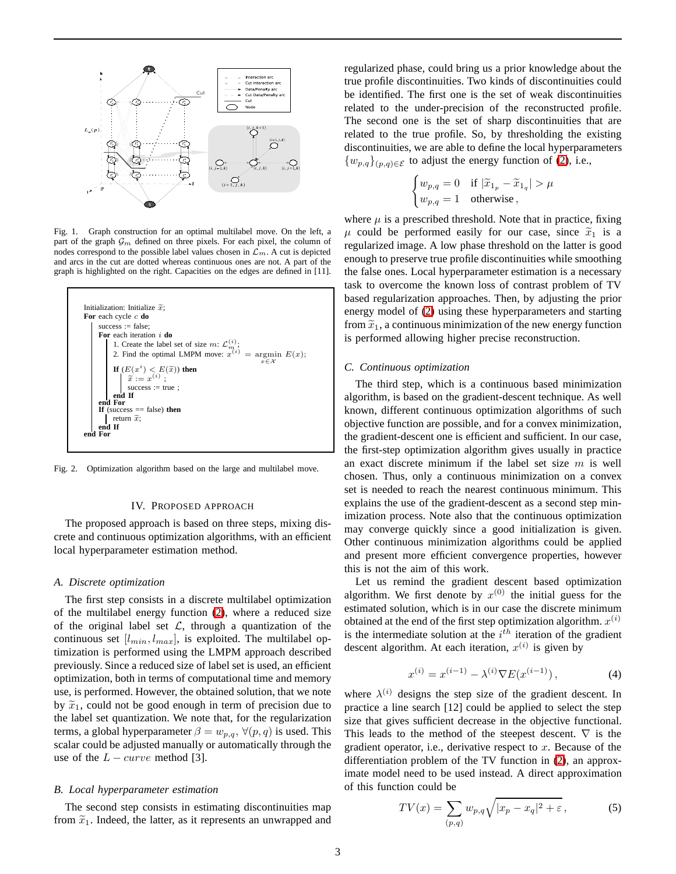

<span id="page-2-2"></span>Fig. 1. Graph construction for an optimal multilabel move. On the left, a part of the graph  $\mathcal{G}_m$  defined on three pixels. For each pixel, the column of nodes correspond to the possible label values chosen in  $\mathcal{L}_m$ . A cut is depicted and arcs in the cut are dotted whereas continuous ones are not. A part of the graph is highlighted on the right. Capacities on the edges are defined in [11].



<span id="page-2-3"></span><span id="page-2-0"></span>Fig. 2. Optimization algorithm based on the large and multilabel move.

#### IV. PROPOSED APPROACH

The proposed approach is based on three steps, mixing discrete and continuous optimization algorithms, with an efficient local hyperparameter estimation method.

## *A. Discrete optimization*

The first step consists in a discrete multilabel optimization of the multilabel energy function [\(2\)](#page-1-2), where a reduced size of the original label set  $\mathcal{L}$ , through a quantization of the continuous set  $[l_{min}, l_{max}]$ , is exploited. The multilabel optimization is performed using the LMPM approach described previously. Since a reduced size of label set is used, an efficient optimization, both in terms of computational time and memory use, is performed. However, the obtained solution, that we note by  $\tilde{x}_1$ , could not be good enough in term of precision due to the label set quantization. We note that, for the regularization terms, a global hyperparameter  $\beta = w_{p,q}$ ,  $\forall (p,q)$  is used. This scalar could be adjusted manually or automatically through the use of the  $L - curve$  method [3].

# <span id="page-2-1"></span>*B. Local hyperparameter estimation*

The second step consists in estimating discontinuities map from  $\widetilde{x}_1$ . Indeed, the latter, as it represents an unwrapped and

regularized phase, could bring us a prior knowledge about the true profile discontinuities. Two kinds of discontinuities could be identified. The first one is the set of weak discontinuities related to the under-precision of the reconstructed profile. The second one is the set of sharp discontinuities that are related to the true profile. So, by thresholding the existing discontinuities, we are able to define the local hyperparameters  $\{w_{p,q}\}_{(p,q)\in\mathcal{E}}$  to adjust the energy function of [\(2\)](#page-1-2), i.e.,

$$
\begin{cases} w_{p,q} = 0 & \text{if } |\widetilde{x}_{1_p} - \widetilde{x}_{1_q}| > \mu \\ w_{p,q} = 1 & \text{otherwise}, \end{cases}
$$

where  $\mu$  is a prescribed threshold. Note that in practice, fixing  $\mu$  could be performed easily for our case, since  $\tilde{x}_1$  is a regularized image. A low phase threshold on the latter is good enough to preserve true profile discontinuities while smoothing the false ones. Local hyperparameter estimation is a necessary task to overcome the known loss of contrast problem of TV based regularization approaches. Then, by adjusting the prior energy model of [\(2\)](#page-1-2) using these hyperparameters and starting from  $\tilde{x}_1$ , a continuous minimization of the new energy function is performed allowing higher precise reconstruction.

## *C. Continuous optimization*

The third step, which is a continuous based minimization algorithm, is based on the gradient-descent technique. As well known, different continuous optimization algorithms of such objective function are possible, and for a convex minimization, the gradient-descent one is efficient and sufficient. In our case, the first-step optimization algorithm gives usually in practice an exact discrete minimum if the label set size  $m$  is well chosen. Thus, only a continuous minimization on a convex set is needed to reach the nearest continuous minimum. This explains the use of the gradient-descent as a second step minimization process. Note also that the continuous optimization may converge quickly since a good initialization is given. Other continuous minimization algorithms could be applied and present more efficient convergence properties, however this is not the aim of this work.

Let us remind the gradient descent based optimization algorithm. We first denote by  $x^{(0)}$  the initial guess for the estimated solution, which is in our case the discrete minimum obtained at the end of the first step optimization algorithm.  $x^{(i)}$ is the intermediate solution at the  $i<sup>th</sup>$  iteration of the gradient descent algorithm. At each iteration,  $x^{(i)}$  is given by

$$
x^{(i)} = x^{(i-1)} - \lambda^{(i)} \nabla E(x^{(i-1)}), \tag{4}
$$

where  $\lambda^{(i)}$  designs the step size of the gradient descent. In practice a line search [12] could be applied to select the step size that gives sufficient decrease in the objective functional. This leads to the method of the steepest descent.  $\nabla$  is the gradient operator, i.e., derivative respect to  $x$ . Because of the differentiation problem of the TV function in [\(2\)](#page-1-2), an approximate model need to be used instead. A direct approximation of this function could be

<span id="page-2-4"></span>
$$
TV(x) = \sum_{(p,q)} w_{p,q} \sqrt{|x_p - x_q|^2 + \varepsilon},\tag{5}
$$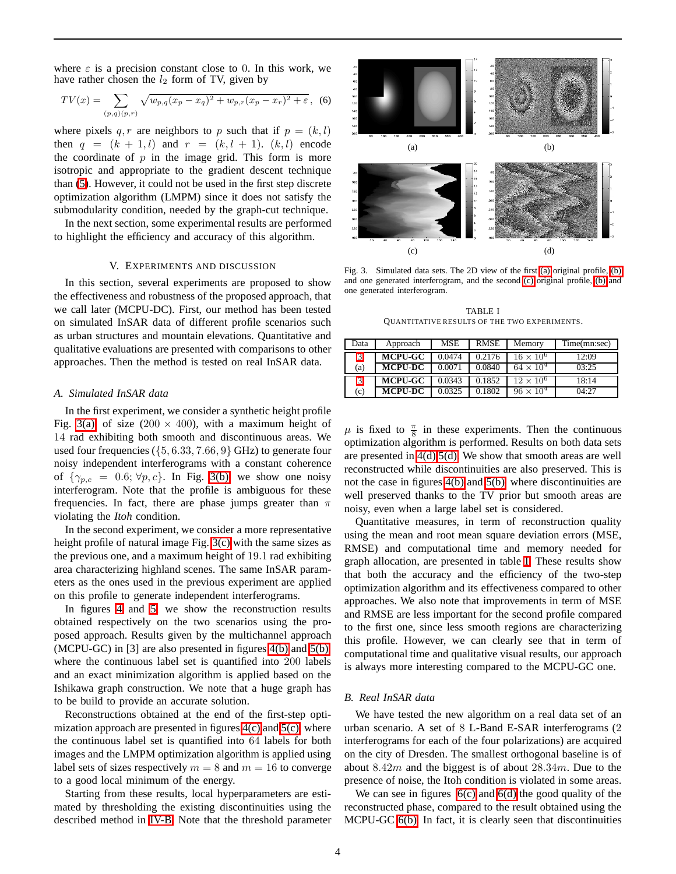where  $\varepsilon$  is a precision constant close to 0. In this work, we have rather chosen the  $l_2$  form of TV, given by

$$
TV(x) = \sum_{(p,q)(p,r)} \sqrt{w_{p,q}(x_p - x_q)^2 + w_{p,r}(x_p - x_r)^2 + \varepsilon}, \tag{6}
$$

where pixels  $q, r$  are neighbors to p such that if  $p = (k, l)$ then  $q = (k + 1, l)$  and  $r = (k, l + 1)$ .  $(k, l)$  encode the coordinate of  $p$  in the image grid. This form is more isotropic and appropriate to the gradient descent technique than [\(5\)](#page-2-4). However, it could not be used in the first step discrete optimization algorithm (LMPM) since it does not satisfy the submodularity condition, needed by the graph-cut technique.

<span id="page-3-0"></span>In the next section, some experimental results are performed to highlight the efficiency and accuracy of this algorithm.

# V. EXPERIMENTS AND DISCUSSION

In this section, several experiments are proposed to show the effectiveness and robustness of the proposed approach, that we call later (MCPU-DC). First, our method has been tested on simulated InSAR data of different profile scenarios such as urban structures and mountain elevations. Quantitative and qualitative evaluations are presented with comparisons to other approaches. Then the method is tested on real InSAR data.

#### *A. Simulated InSAR data*

In the first experiment, we consider a synthetic height profile Fig. [3\(a\),](#page-3-1) of size (200  $\times$  400), with a maximum height of 14 rad exhibiting both smooth and discontinuous areas. We used four frequencies ( $\{5, 6.33, 7.66, 9\}$  GHz) to generate four noisy independent interferograms with a constant coherence of  $\{\gamma_{p,c} = 0.6; \forall p, c\}$ . In Fig. [3\(b\),](#page-3-2) we show one noisy interferogram. Note that the profile is ambiguous for these frequencies. In fact, there are phase jumps greater than  $\pi$ violating the *Itoh* condition.

In the second experiment, we consider a more representative height profile of natural image Fig. [3\(c\)](#page-3-3) with the same sizes as the previous one, and a maximum height of 19.1 rad exhibiting area characterizing highland scenes. The same InSAR parameters as the ones used in the previous experiment are applied on this profile to generate independent interferograms.

In figures [4](#page-4-0) and [5,](#page-4-1) we show the reconstruction results obtained respectively on the two scenarios using the proposed approach. Results given by the multichannel approach (MCPU-GC) in [3] are also presented in figures [4\(b\)](#page-4-2) and [5\(b\),](#page-4-3) where the continuous label set is quantified into 200 labels and an exact minimization algorithm is applied based on the Ishikawa graph construction. We note that a huge graph has to be build to provide an accurate solution.

Reconstructions obtained at the end of the first-step optimization approach are presented in figures  $4(c)$  and  $5(c)$ , where the continuous label set is quantified into 64 labels for both images and the LMPM optimization algorithm is applied using label sets of sizes respectively  $m = 8$  and  $m = 16$  to converge to a good local minimum of the energy.

Starting from these results, local hyperparameters are estimated by thresholding the existing discontinuities using the described method in [IV-B.](#page-2-1) Note that the threshold parameter

<span id="page-3-3"></span><span id="page-3-2"></span><span id="page-3-1"></span>

<span id="page-3-4"></span>Fig. 3. Simulated data sets. The 2D view of the first [\(a\)](#page-3-1) original profile, [\(b\)](#page-3-2) and one generated interferogram, and the second [\(c\)](#page-3-3) original profile, [\(b\)](#page-3-2) and one generated interferogram.

TABLE I QUANTITATIVE RESULTS OF THE TWO EXPERIMENTS.

<span id="page-3-5"></span>

| Data | Approach       | MSE    | <b>RMSE</b> | Memorv             | Time(mn:sec) |
|------|----------------|--------|-------------|--------------------|--------------|
| 3    | <b>MCPU-GC</b> | 0.0474 | 0.2176      | $16 \times 10^{6}$ | 12:09        |
| (a)  | <b>MCPU-DC</b> | 0.0071 | 0.0840      | $64 \times 10^4$   | 03:25        |
| 3    | <b>MCPU-GC</b> | 0.0343 | 0.1852      | $12 \times 10^{6}$ | 18:14        |
| (c)  | <b>MCPU-DC</b> | 0.0325 | 1802        | $96 \times 10^{4}$ | 04:27        |

 $\mu$  is fixed to  $\frac{\pi}{8}$  in these experiments. Then the continuous optimization algorithm is performed. Results on both data sets are presented in [4\(d\)](#page-4-6) [5\(d\).](#page-4-7) We show that smooth areas are well reconstructed while discontinuities are also preserved. This is not the case in figures [4\(b\)](#page-4-2) and [5\(b\),](#page-4-3) where discontinuities are well preserved thanks to the TV prior but smooth areas are noisy, even when a large label set is considered.

Quantitative measures, in term of reconstruction quality using the mean and root mean square deviation errors (MSE, RMSE) and computational time and memory needed for graph allocation, are presented in table [I.](#page-3-5) These results show that both the accuracy and the efficiency of the two-step optimization algorithm and its effectiveness compared to other approaches. We also note that improvements in term of MSE and RMSE are less important for the second profile compared to the first one, since less smooth regions are characterizing this profile. However, we can clearly see that in term of computational time and qualitative visual results, our approach is always more interesting compared to the MCPU-GC one.

#### *B. Real InSAR data*

We have tested the new algorithm on a real data set of an urban scenario. A set of 8 L-Band E-SAR interferograms (2 interferograms for each of the four polarizations) are acquired on the city of Dresden. The smallest orthogonal baseline is of about 8.42m and the biggest is of about  $28.34m$ . Due to the presence of noise, the Itoh condition is violated in some areas.

We can see in figures  $6(c)$  and  $6(d)$  the good quality of the reconstructed phase, compared to the result obtained using the MCPU-GC [6\(b\).](#page-4-10) In fact, it is clearly seen that discontinuities